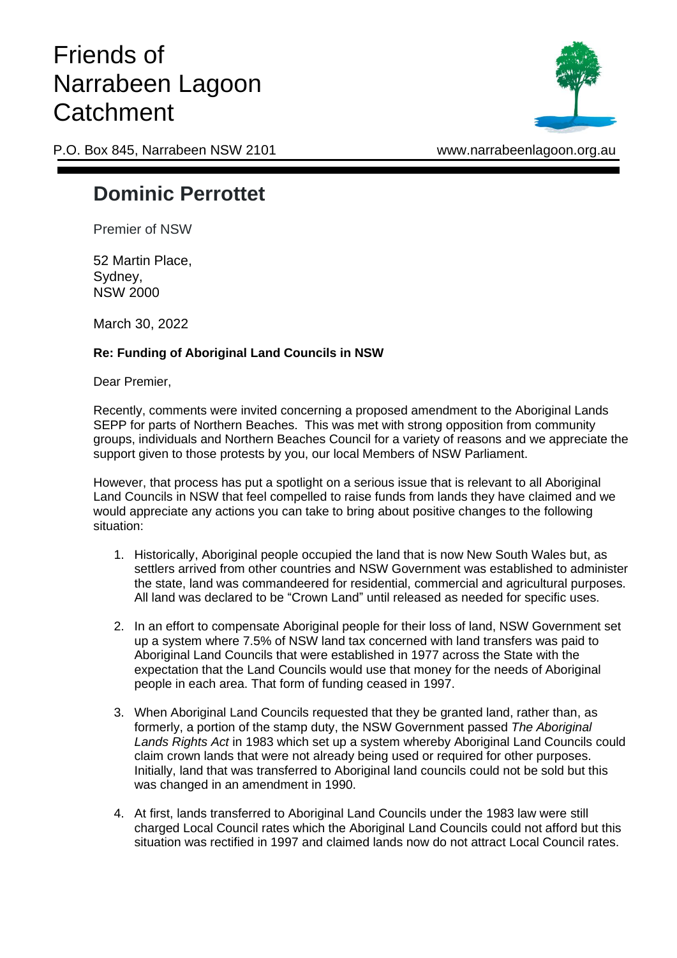## Friends of Narrabeen Lagoon **Catchment**



P.O. Box 845, Narrabeen NSW 2101 www.narrabeenlagoon.org.au

## **Dominic Perrottet**

Premier of NSW

52 Martin Place, Sydney, NSW 2000

March 30, 2022

## **Re: Funding of Aboriginal Land Councils in NSW**

Dear Premier,

Recently, comments were invited concerning a proposed amendment to the Aboriginal Lands SEPP for parts of Northern Beaches. This was met with strong opposition from community groups, individuals and Northern Beaches Council for a variety of reasons and we appreciate the support given to those protests by you, our local Members of NSW Parliament.

However, that process has put a spotlight on a serious issue that is relevant to all Aboriginal Land Councils in NSW that feel compelled to raise funds from lands they have claimed and we would appreciate any actions you can take to bring about positive changes to the following situation:

- 1. Historically, Aboriginal people occupied the land that is now New South Wales but, as settlers arrived from other countries and NSW Government was established to administer the state, land was commandeered for residential, commercial and agricultural purposes. All land was declared to be "Crown Land" until released as needed for specific uses.
- 2. In an effort to compensate Aboriginal people for their loss of land, NSW Government set up a system where 7.5% of NSW land tax concerned with land transfers was paid to Aboriginal Land Councils that were established in 1977 across the State with the expectation that the Land Councils would use that money for the needs of Aboriginal people in each area. That form of funding ceased in 1997.
- 3. When Aboriginal Land Councils requested that they be granted land, rather than, as formerly, a portion of the stamp duty, the NSW Government passed *The Aboriginal Lands Rights Act* in 1983 which set up a system whereby Aboriginal Land Councils could claim crown lands that were not already being used or required for other purposes. Initially, land that was transferred to Aboriginal land councils could not be sold but this was changed in an amendment in 1990.
- 4. At first, lands transferred to Aboriginal Land Councils under the 1983 law were still charged Local Council rates which the Aboriginal Land Councils could not afford but this situation was rectified in 1997 and claimed lands now do not attract Local Council rates.